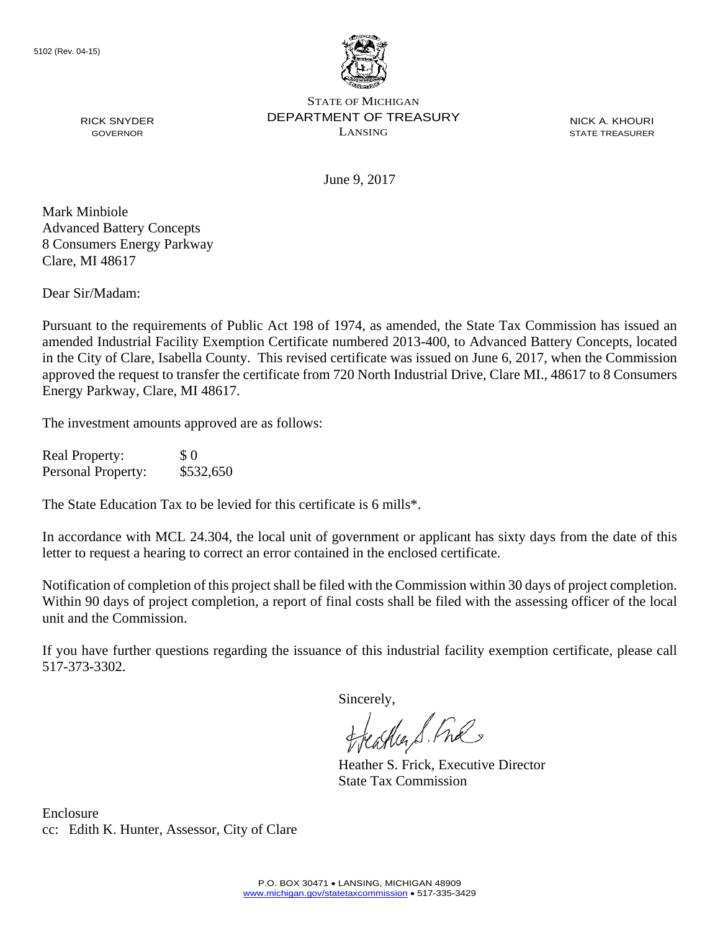

STATE OF MICHIGAN DEPARTMENT OF TREASURY LANSING

NICK A. KHOURI STATE TREASURER

June 9, 2017

RICK SNYDER GOVERNOR

Mark Minbiole Advanced Battery Concepts 8 Consumers Energy Parkway Clare, MI 48617

Dear Sir/Madam:

Pursuant to the requirements of Public Act 198 of 1974, as amended, the State Tax Commission has issued an amended Industrial Facility Exemption Certificate numbered 2013-400, to Advanced Battery Concepts, located in the City of Clare, Isabella County. This revised certificate was issued on June 6, 2017, when the Commission approved the request to transfer the certificate from 720 North Industrial Drive, Clare MI., 48617 to 8 Consumers Energy Parkway, Clare, MI 48617.

The investment amounts approved are as follows:

Real Property: \$ 0 Personal Property: \$532,650

The State Education Tax to be levied for this certificate is 6 mills\*.

In accordance with MCL 24.304, the local unit of government or applicant has sixty days from the date of this letter to request a hearing to correct an error contained in the enclosed certificate.

Notification of completion of this project shall be filed with the Commission within 30 days of project completion. Within 90 days of project completion, a report of final costs shall be filed with the assessing officer of the local unit and the Commission.

If you have further questions regarding the issuance of this industrial facility exemption certificate, please call 517-373-3302.

Sincerely,<br>freathers fine

Heather S. Frick, Executive Director State Tax Commission

Enclosure cc: Edith K. Hunter, Assessor, City of Clare